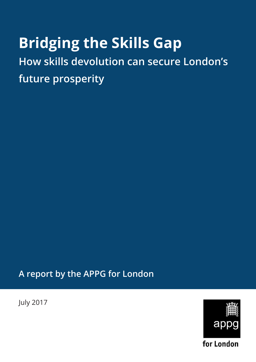# **Bridging the Skills Gap**

**How skills devolution can secure London's future prosperity**

**A report by the APPG for London**

July 2017



for London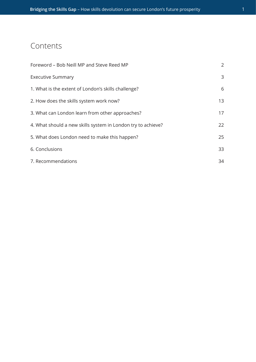## Contents

| Foreword - Bob Neill MP and Steve Reed MP                    | $\overline{2}$ |
|--------------------------------------------------------------|----------------|
| <b>Executive Summary</b>                                     | 3              |
| 1. What is the extent of London's skills challenge?          | 6              |
| 2. How does the skills system work now?                      | 13             |
| 3. What can London learn from other approaches?              | 17             |
| 4. What should a new skills system in London try to achieve? | 22             |
| 5. What does London need to make this happen?                | 25             |
| 6. Conclusions                                               | 33             |
| 7. Recommendations                                           | 34             |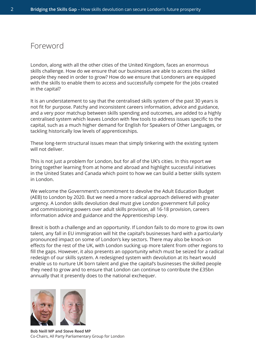## Foreword

London, along with all the other cities of the United Kingdom, faces an enormous skills challenge. How do we ensure that our businesses are able to access the skilled people they need in order to grow? How do we ensure that Londoners are equipped with the skills to enable them to access and successfully compete for the jobs created in the capital?

It is an understatement to say that the centralised skills system of the past 30 years is not fit for purpose. Patchy and inconsistent careers information, advice and guidance, and a very poor matchup between skills spending and outcomes, are added to a highly centralised system which leaves London with few tools to address issues specific to the capital, such as a much higher demand for English for Speakers of Other Languages, or tackling historically low levels of apprenticeships.

These long-term structural issues mean that simply tinkering with the existing system will not deliver.

This is not just a problem for London, but for all of the UK's cities. In this report we bring together learning from at home and abroad and highlight successful initiatives in the United States and Canada which point to how we can build a better skills system in London.

We welcome the Government's commitment to devolve the Adult Education Budget (AEB) to London by 2020. But we need a more radical approach delivered with greater urgency. A London skills devolution deal must give London government full policy and commissioning powers over adult skills provision, all 16-18 provision, careers information advice and guidance and the Apprenticeship Levy.

Brexit is both a challenge and an opportunity. If London fails to do more to grow its own talent, any fall in EU immigration will hit the capital's businesses hard with a particularly pronounced impact on some of London's key sectors. There may also be knock-on effects for the rest of the UK, with London sucking up more talent from other regions to fill the gaps. However, it also presents an opportunity which must be seized for a radical redesign of our skills system. A redesigned system with devolution at its heart would enable us to nurture UK born talent and give the capital's businesses the skilled people they need to grow and to ensure that London can continue to contribute the £35bn annually that it presently does to the national exchequer.



**Bob Neill MP and Steve Reed MP** Co-Chairs, All Party Parliamentary Group for London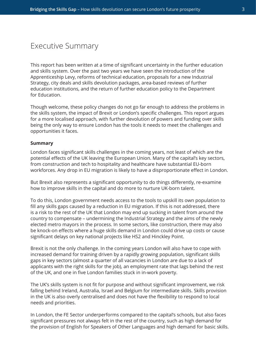## Executive Summary

This report has been written at a time of significant uncertainty in the further education and skills system. Over the past two years we have seen the introduction of the Apprenticeship Levy, reforms of technical education, proposals for a new Industrial Strategy, city deals and skills devolution packages, area-based reviews of further education institutions, and the return of further education policy to the Department for Education.

Though welcome, these policy changes do not go far enough to address the problems in the skills system, the impact of Brexit or London's specific challenges. This report argues for a more localised approach, with further devolution of powers and funding over skills being the only way to ensure London has the tools it needs to meet the challenges and opportunities it faces.

#### **Summary**

London faces significant skills challenges in the coming years, not least of which are the potential effects of the UK leaving the European Union. Many of the capital's key sectors, from construction and tech to hospitality and healthcare have substantial EU-born workforces. Any drop in EU migration is likely to have a disproportionate effect in London.

But Brexit also represents a significant opportunity to do things differently, re-examine how to improve skills in the capital and do more to nurture UK-born talent.

To do this, London government needs access to the tools to upskill its own population to fill any skills gaps caused by a reduction in EU migration. If this is not addressed, there is a risk to the rest of the UK that London may end up sucking in talent from around the country to compensate – undermining the Industrial Strategy and the aims of the newly elected metro mayors in the process. In some sectors, like construction, there may also be knock-on effects where a huge skills demand in London could drive up costs or cause significant delays on key national projects like HS2 and Hinckley Point.

Brexit is not the only challenge. In the coming years London will also have to cope with increased demand for training driven by a rapidly growing population, significant skills gaps in key sectors (almost a quarter of all vacancies in London are due to a lack of applicants with the right skills for the job), an employment rate that lags behind the rest of the UK, and one in five London families stuck in in-work poverty.

The UK's skills system is not fit for purpose and without significant improvement, we risk falling behind Ireland, Australia, Israel and Belgium for intermediate skills. Skills provision in the UK is also overly centralised and does not have the flexibility to respond to local needs and priorities.

In London, the FE Sector underperforms compared to the capital's schools, but also faces significant pressures not always felt in the rest of the country, such as high demand for the provision of English for Speakers of Other Languages and high demand for basic skills.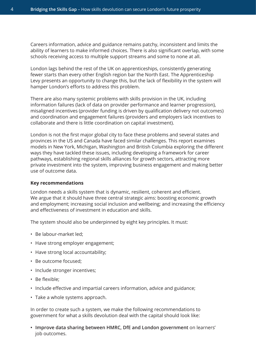Careers information, advice and guidance remains patchy, inconsistent and limits the ability of learners to make informed choices. There is also significant overlap, with some schools receiving access to multiple support streams and some to none at all.

London lags behind the rest of the UK on apprenticeships, consistently generating fewer starts than every other English region bar the North East. The Apprenticeship Levy presents an opportunity to change this, but the lack of flexibility in the system will hamper London's efforts to address this problem.

There are also many systemic problems with skills provision in the UK, including information failures (lack of data on provider performance and learner progression), misaligned incentives (provider funding is driven by qualification delivery not outcomes) and coordination and engagement failures (providers and employers lack incentives to collaborate and there is little coordination on capital investment).

London is not the first major global city to face these problems and several states and provinces in the US and Canada have faced similar challenges. This report examines models in New York, Michigan, Washington and British Columbia exploring the different ways they have tackled these issues, including developing a framework for career pathways, establishing regional skills alliances for growth sectors, attracting more private investment into the system, improving business engagement and making better use of outcome data.

#### **Key recommendations**

London needs a skills system that is dynamic, resilient, coherent and efficient. We argue that it should have three central strategic aims: boosting economic growth and employment; increasing social inclusion and wellbeing; and increasing the efficiency and effectiveness of investment in education and skills.

The system should also be underpinned by eight key principles. It must:

- Be labour-market led;
- Have strong employer engagement;
- Have strong local accountability;
- Be outcome focused;
- Include stronger incentives;
- Be flexible;
- Include effective and impartial careers information, advice and guidance;
- Take a whole systems approach.

In order to create such a system, we make the following recommendations to government for what a skills devolution deal with the capital should look like:

**• Improve data sharing between HMRC, DfE and London government** on learners' job outcomes.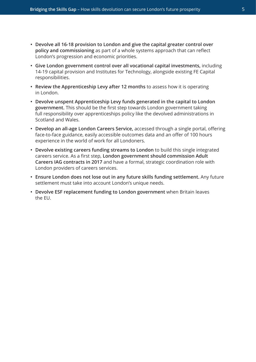- **• Devolve all 16-18 provision to London and give the capital greater control over policy and commissioning** as part of a whole systems approach that can reflect London's progression and economic priorities.
- **• Give London government control over all vocational capital investments,** including 14-19 capital provision and Institutes for Technology, alongside existing FE Capital responsibilities.
- **• Review the Apprenticeship Levy after 12 months** to assess how it is operating in London.
- **• Devolve unspent Apprenticeship Levy funds generated in the capital to London government.** This should be the first step towards London government taking full responsibility over apprenticeships policy like the devolved administrations in Scotland and Wales.
- **• Develop an all-age London Careers Service,** accessed through a single portal, offering face-to-face guidance, easily accessible outcomes data and an offer of 100 hours experience in the world of work for all Londoners.
- **• Devolve existing careers funding streams to London** to build this single integrated careers service. As a first step, **London government should commission Adult Careers IAG contracts in 2017** and have a formal, strategic coordination role with London providers of careers services.
- **• Ensure London does not lose out in any future skills funding settlement.** Any future settlement must take into account London's unique needs.
- **• Devolve ESF replacement funding to London government** when Britain leaves the EU.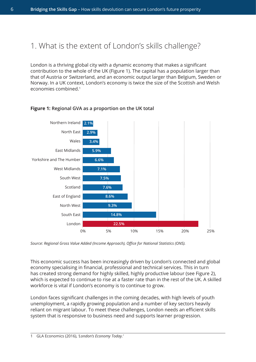## 1. What is the extent of London's skills challenge?

London is a thriving global city with a dynamic economy that makes a significant contribution to the whole of the UK (Figure 1). The capital has a population larger than that of Austria or Switzerland, and an economic output larger than Belgium, Sweden or Norway. In a UK context, London's economy is twice the size of the Scottish and Welsh economies combined.1



### **Figure 1: Regional GVA as a proportion on the UK total**

*Source: Regional Gross Value Added (Income Approach), Office for National Statistics (ONS).*

This economic success has been increasingly driven by London's connected and global economy specialising in financial, professional and technical services. This in turn has created strong demand for highly skilled, highly productive labour (see Figure 2), which is expected to continue to rise at a faster rate than in the rest of the UK. A skilled workforce is vital if London's economy is to continue to grow.

London faces significant challenges in the coming decades, with high levels of youth unemployment, a rapidly growing population and a number of key sectors heavily reliant on migrant labour. To meet these challenges, London needs an efficient skills system that is responsive to business need and supports learner progression.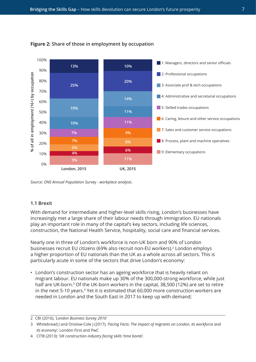



*Source: ONS Annual Population Survey - workplace analysis.*

#### **1.1 Brexit**

With demand for intermediate and higher-level skills rising, London's businesses have increasingly met a large share of their labour needs through immigration. EU nationals play an important role in many of the capital's key sectors, including life sciences, construction, the National Health Service, hospitality, social care and financial services.

Nearly one in three of London's workforce is non-UK born and 90% of London businesses recruit EU citizens (69% also recruit non-EU workers).2 London employs a higher proportion of EU nationals than the UK as a whole across all sectors. This is particularly acute in some of the sectors that drive London's economy:

• London's construction sector has an ageing workforce that is heavily reliant on migrant labour. EU nationals make up 30% of the 300,000-strong workforce, while just half are UK-born.<sup>3</sup> Of the UK-born workers in the capital, 38,500 (12%) are set to retire in the next 5-10 years.<sup>4</sup> Yet it is estimated that 60,000 more construction workers are needed in London and the South East in 2017 to keep up with demand;

<sup>2</sup> CBI (2016), *'London Business Survey 2016'*

<sup>3</sup> Whitebread J and Onslow-Cole J (2017), *'Facing Facts: The impact of migrants on London, its workforce and its economy*', London First and PwC

<sup>4</sup> CITB (2013): *'UK construction industry facing skills 'time bomb'.*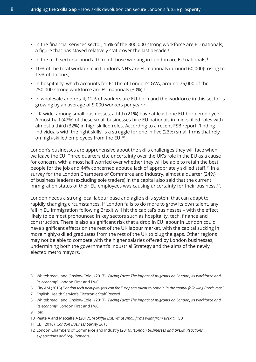- In the financial services sector, 15% of the 300,000-strong workforce are EU nationals, a figure that has stayed relatively static over the last decade;5
- In the tech sector around a third of those working in London are EU nationals;<sup>6</sup>
- 10% of the total workforce in London's NHS are EU nationals (around 60,000)<sup>7</sup> rising to 13% of doctors;
- In hospitality, which accounts for £11bn of London's GVA, around 75,000 of the 250,000-strong workforce are EU nationals (30%);8
- In wholesale and retail, 12% of workers are EU-born and the workforce in this sector is growing by an average of 9,000 workers per year.9
- UK-wide, among small businesses, a fifth (21%) have at least one EU-born employee. Almost half (47%) of these small businesses hire EU nationals in mid-skilled roles with almost a third (32%) in high skilled roles. According to a recent FSB report, 'finding individuals with the right skills' is a struggle for one in five (23%) small firms that rely on high-skilled employees from the EU.10

London's businesses are apprehensive about the skills challenges they will face when we leave the EU. Three quarters cite uncertainty over the UK's role in the EU as a cause for concern, with almost half worried over whether they will be able to retain the best people for the job and 44% concerned about a lack of appropriately skilled staff.11 In a survey for the London Chambers of Commerce and Industry, almost a quarter (24%) of business leaders (excluding sole traders) in the capital also said that the current immigration status of their EU employees was causing uncertainty for their business.<sup>12</sup>.

London needs a strong local labour base and agile skills system that can adapt to rapidly changing circumstances. If London fails to do more to grow its own talent, any fall in EU immigration following Brexit will hit the capital's businesses – with the effect likely to be most pronounced in key sectors such as hospitality, tech, finance and construction. There is also a significant risk that a drop in EU labour in London could have significant effects on the rest of the UK labour market, with the capital sucking in more highly-skilled graduates from the rest of the UK to plug the gaps. Other regions may not be able to compete with the higher salaries offered by London businesses, undermining both the government's Industrial Strategy and the aims of the newly elected metro mayors.

8 Whitebread J and Onslow-Cole J (2017), *'Facing Facts: The impact of migrants on London, its workforce and its economy'*, London First and PwC

11 CBI (2016), *'London Business Survey 2016'*

<sup>5</sup> Whitebread J and Onslow-Cole J (2017), *'Facing Facts: The impact of migrants on London, its workforce and its economy'*, London First and PwC

<sup>6</sup> City AM (2016) *'London tech heavyweights call for European talent to remain in the capital following Brexit vote.'* 

<sup>7</sup> English Health Service's Electronic Staff Record

<sup>9</sup> Ibid

<sup>10</sup> Peate A and Metcalfe A (2017), *'A Skilful Exit: What small firms want from Brexit'*, FSB

<sup>12</sup> London Chambers of Commerce and Industry (2016), *'London Businesses and Brexit: Reactions, expectations and requirements.*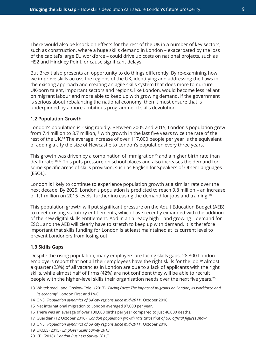There would also be knock-on effects for the rest of the UK in a number of key sectors, such as construction, where a huge skills demand in London – exacerbated by the loss of the capital's large EU workforce – could drive up costs on national projects, such as HS2 and Hinckley Point, or cause significant delays.

But Brexit also presents an opportunity to do things differently. By re-examining how we improve skills across the regions of the UK, identifying and addressing the flaws in the existing approach and creating an agile skills system that does more to nurture UK-born talent, important sectors and regions, like London, would become less reliant on migrant labour and more able to keep up with growing demand. If the government is serious about rebalancing the national economy, then it must ensure that is underpinned by a more ambitious programme of skills devolution.

#### **1.2 Population Growth**

London's population is rising rapidly. Between 2005 and 2015, London's population grew from 7.4 million to 8.7 million,<sup>13</sup> with growth in the last five years twice the rate of the rest of the UK.14 The average increase of over 117,000 people per year is the equivalent of adding a city the size of Newcastle to London's population every three years.

This growth was driven by a combination of immigration<sup>15</sup> and a higher birth rate than death rate.16 17 This puts pressure on school places and also increases the demand for some specific areas of skills provision, such as English for Speakers of Other Languages (ESOL).

London is likely to continue to experience population growth at a similar rate over the next decade. By 2025, London's population is predicted to reach 9.8 million – an increase of 1.1 million on 2015 levels, further increasing the demand for jobs and training.<sup>18</sup>

This population growth will put significant pressure on the Adult Education Budget (AEB) to meet existing statutory entitlements, which have recently expanded with the addition of the new digital skills entitlement. Add in an already high – and growing – demand for ESOL and the AEB will clearly have to stretch to keep up with demand. It is therefore important that skills funding for London is at least maintained at its current level to prevent Londoners from losing out.

#### **1.3 Skills Gaps**

Despite the rising population, many employers are facing skills gaps. 28,300 London employers report that not all their employees have the right skills for the job.<sup>19</sup> Almost a quarter (23%) of all vacancies in London are due to a lack of applicants with the right skills, while almost half of firms (42%) are not confident they will be able to recruit people with the higher-level skills their organisation needs over the next five years.20

<sup>13</sup> Whitebread J and Onslow-Cole J (2017), *'Facing Facts: The impact of migrants on London, its workforce and its economy'*, London First and PwC

<sup>14</sup> ONS: *'Population dynamics of UK city regions since mid-2011',* October 2016

<sup>15</sup> Net international migration to London averaged 97,000 per year.

<sup>16</sup> There was an average of over 130,000 births per year compared to just 48,000 deaths.

<sup>17</sup> Guardian (12 October 2016): *'London population growth rate twice that of UK, official figures show'*

<sup>18</sup> ONS: *'Population dynamics of UK city regions since mid-2011',* October 2016

<sup>19</sup> UKCES (2015) *'Employer Skills Survey 2015'*

<sup>20</sup> CBI (2016), *'London Business Survey 2016'*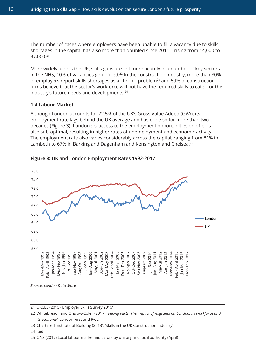The number of cases where employers have been unable to fill a vacancy due to skills shortages in the capital has also more than doubled since 2011 – rising from 14,000 to 37,000.21

More widely across the UK, skills gaps are felt more acutely in a number of key sectors. In the NHS, 10% of vacancies go unfilled.<sup>22</sup> In the construction industry, more than 80% of employers report skills shortages as a chronic problem<sup>23</sup> and 59% of construction firms believe that the sector's workforce will not have the required skills to cater for the industry's future needs and developments.<sup>24</sup>

#### **1.4 Labour Market**

Although London accounts for 22.5% of the UK's Gross Value Added (GVA), its employment rate lags behind the UK average and has done so for more than two decades (Figure 3). Londoners' access to the employment opportunities on offer is also sub-optimal, resulting in higher rates of unemployment and economic activity. The employment rate also varies considerably across the capital, ranging from 81% in Lambeth to 67% in Barking and Dagenham and Kensington and Chelsea.<sup>25</sup>



#### **Figure 3: UK and London Employment Rates 1992-2017 Figure 4: UK and London Employment Rates 1992-2017 Figure 4: UK and London Employment Rates 1992-2017**

*Source: London Data Store Source: London Data Store Source: London Data Store*

21 UKCES (2015) 'Employer Skills Survey 2015'

22 Whitebread J and Onslow-Cole J (2017), *'Facing Facts: The impact of migrants on London, its workforce and its economy'*, London First and PwC

23 Chartered Institute of Building (2013), 'Skills in the UK Construction Industry'

24 Ibid

25 ONS (2017) Local labour market indicators by unitary and local authority (April)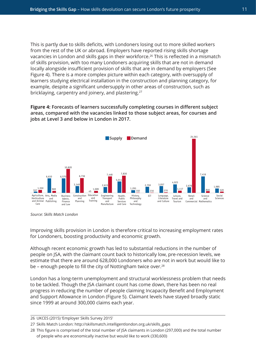This is partly due to skills deficits, with Londoners losing out to more skilled workers from the rest of the UK or abroad. Employers have reported rising skills shortage vacancies in London and skills gaps in their workforce.<sup>26</sup> This is reflected in a mismatch of skills provision, with too many Londoners acquiring skills that are not in demand locally alongside insufficient provision of skills that are in demand by employers (See Figure 4). There is a more complex picture within each category, with oversupply of learners studying electrical installation in the construction and planning category, for example, despite a significant undersupply in other areas of construction, such as bricklaying, carpentry and joinery, and plastering.27

**Figure 4: Forecasts of learners successfully completing courses in different subject areas, compared with the vacancies linked to those subject areas, for courses and jobs at Level 3 and below in London in 2017.**



*Source: Skills Match London*

Improving skills provision in London is therefore critical to increasing employment rates for Londoners, boosting productivity and economic growth.

Although recent economic growth has led to substantial reductions in the number of people on JSA, with the claimant count back to historically low, pre-recession levels, we estimate that there are around 628,000 Londoners who are not in work but would like to be – enough people to fill the city of Nottingham twice over.<sup>28</sup>

London has a long-term unemployment and structural worklessness problem that needs to be tackled. Though the JSA claimant count has come down, there has been no real progress in reducing the number of people claiming Incapacity Benefit and Employment and Support Allowance in London (Figure 5). Claimant levels have stayed broadly static since 1999 at around 300,000 claims each year.

<sup>26</sup> UKCES (2015) 'Employer Skills Survey 2015'

<sup>27</sup> Skills Match London: http://skillsmatch.intelligentlondon.org.uk/skills\_gaps

<sup>28</sup> This figure is comprised of the total number of JSA claimants in London (297,000) and the total number of people who are economically inactive but would like to work (330,600)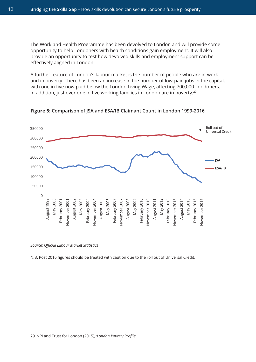The Work and Health Programme has been devolved to London and will provide some opportunity to help Londoners with health conditions gain employment. It will also provide an opportunity to test how devolved skills and employment support can be effectively aligned in London.

A further feature of London's labour market is the number of people who are in-work and in poverty. There has been an increase in the number of low-paid jobs in the capital, with one in five now paid below the London Living Wage, affecting 700,000 Londoners. In addition, just over one in five working families in London are in poverty.<sup>29</sup>



76.0 **Figure 5: Comparison of JSA and ESA/IB Claimant Count in London 1999-2016**

*Source: Official Labour Market Statistics*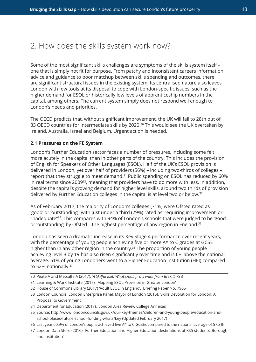## 2. How does the skills system work now?

Some of the most significant skills challenges are symptoms of the skills system itself – one that is simply not fit for purpose. From patchy and inconsistent careers information advice and guidance to poor matchup between skills spending and outcomes, there are significant structural issues in the existing system. Its centralised nature also leaves London with few tools at its disposal to cope with London-specific issues, such as the higher demand for ESOL or historically low levels of apprenticeship numbers in the capital, among others. The current system simply does not respond well enough to London's needs and priorities.

The OECD predicts that, without significant improvement, the UK will fall to 28th out of 33 OECD countries for intermediate skills by 2020.<sup>30</sup> This would see the UK overtaken by Ireland, Australia, Israel and Belgium. Urgent action is needed.

#### **2.1 Pressures on the FE System**

London's Further Education sector faces a number of pressures, including some felt more acutely in the capital than in other parts of the country. This includes the provision of English for Speakers of Other Languages (ESOL). Half of the UK's ESOL provision is delivered in London, yet over half of providers (56%) – including two-thirds of colleges – report that they struggle to meet demand.31 Public spending on ESOL has reduced by 60% in real terms since 2009<sup>32</sup>, meaning that providers have to do more with less. In addition, despite the capital's growing demand for higher level skills, around two thirds of provision delivered by Further Education colleges in the capital is at level two or below.33

As of February 2017, the majority of London's colleges (71%) were Ofsted rated as 'good' or 'outstanding', with just under a third (29%) rated as 'requiring improvement' or 'inadequate"<sup>34</sup>. This compares with 94% of London's schools that were judged to be 'good' or 'outstanding' by Ofsted – the highest percentage of any region in England.35

London has seen a dramatic increase in its Key Stage 4 performance over recent years, with the percentage of young people achieving five or more A\* to C grades at GCSE higher than in any other region in the country.<sup>36</sup> The proportion of young people achieving level 3 by 19 has also risen significantly over time and is 6% above the national average. 61% of young Londoners went to a Higher Education Institution (HEI) compared to 52% nationally.37

- 30 Peate A and Metcalfe A (2017), *'A Skilful Exit: What small firms want from Brexit',* FSB
- 31 Learning & Work Institute (2017), 'Mapping ESOL Provision in Greater London'
- 32 House of Commons Library (2017) 'Adult ESOL in England', Briefing Paper No. 7905
- 33 London Councils, London Enterprise Panel, Mayor of London (2015), 'Skills Devolution for London: A Proposal to Government'
- 34 Department for Education (2017), 'London Area Review College Annexes'
- 35 Source: http://www.londoncouncils.gov.uk/our-key-themes/children-and-young-people/education-andschool-places/future-school-funding-whats/key (Updated February 2017)
- 36 Last year 60.9% of London's pupils achieved five A\* to C GCSEs compared to the national average of 57.3%.
- 37 London Data Store (2016), 'Further Education and Higher Education destinations of KS5 students, Borough and Institution'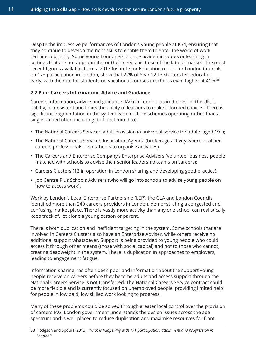Despite the impressive performances of London's young people at KS4, ensuring that they continue to develop the right skills to enable them to enter the world of work remains a priority. Some young Londoners pursue academic routes or learning in settings that are not appropriate for their needs or those of the labour market. The most recent figures available, from a 2013 Institute for Education report for London Councils on 17+ participation in London, show that 22% of Year 12 L3 starters left education early, with the rate for students on vocational courses in schools even higher at 41%.<sup>38</sup>

#### **2.2 Poor Careers Information, Advice and Guidance**

Careers information, advice and guidance (IAG) in London, as in the rest of the UK, is patchy, inconsistent and limits the ability of learners to make informed choices. There is significant fragmentation in the system with multiple schemes operating rather than a single unified offer, including (but not limited to):

- The National Careers Service's adult provision (a universal service for adults aged 19+);
- The National Careers Service's Inspiration Agenda (brokerage activity where qualified careers professionals help schools to organise activities);
- The Careers and Enterprise Company's Enterprise Advisers (volunteer business people matched with schools to advise their senior leadership teams on careers);
- Careers Clusters (12 in operation in London sharing and developing good practice);
- Job Centre Plus Schools Advisers (who will go into schools to advise young people on how to access work).

Work by London's Local Enterprise Partnership (LEP), the GLA and London Councils identified more than 240 careers providers in London, demonstrating a congested and confusing market place. There is vastly more activity than any one school can realistically keep track of, let alone a young person or parent.

There is both duplication and inefficient targeting in the system. Some schools that are involved in Careers Clusters also have an Enterprise Adviser, while others receive no additional support whatsoever. Support is being provided to young people who could access it through other means (those with social capital) and not to those who cannot, creating deadweight in the system. There is duplication in approaches to employers, leading to engagement fatigue.

Information sharing has often been poor and information about the support young people receive on careers before they become adults and access support through the National Careers Service is not transferred. The National Careers Service contract could be more flexible and is currently focused on unemployed people, providing limited help for people in low paid, low skilled work looking to progress.

Many of these problems could be solved through greater local control over the provision of careers IAG. London government understands the design issues across the age spectrum and is well-placed to reduce duplication and maximise resources for front-

<sup>38</sup> Hodgson and Spours (2013), *'What is happening with 17+ participation, attainment and progression in London?'*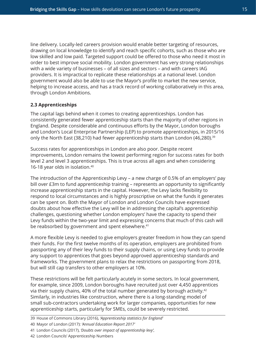line delivery. Locally-led careers provision would enable better targeting of resources, drawing on local knowledge to identify and reach specific cohorts, such as those who are low skilled and low paid. Targeted support could be offered to those who need it most in order to best improve social mobility. London government has very strong relationships with a wide variety of businesses – of all sizes and sectors – and with careers IAG providers. It is impractical to replicate these relationships at a national level. London government would also be able to use the Mayor's profile to market the new service, helping to increase access, and has a track record of working collaboratively in this area, through London Ambitions.

#### **2.3 Apprenticeships**

The capital lags behind when it comes to creating apprenticeships. London has consistently generated fewer apprenticeship starts than the majority of other regions in England. Despite considerable and continuous efforts by the Mayor, London boroughs and London's Local Enterprise Partnership (LEP) to promote apprenticeships, in 2015/16 only the North East (38,210) had fewer apprenticeship starts than London (46,280).<sup>39</sup>

Success rates for apprenticeships in London are also poor. Despite recent improvements, London remains the lowest performing region for success rates for both level 2 and level 3 apprenticeships. This is true across all ages and when considering 16-18 year olds in isolation.40

The introduction of the Apprenticeship Levy – a new charge of 0.5% of an employers' pay bill over £3m to fund apprenticeship training – represents an opportunity to significantly increase apprenticeship starts in the capital. However, the Levy lacks flexibility to respond to local circumstances and is highly proscriptive on what the funds it generates can be spent on. Both the Mayor of London and London Councils have expressed doubts about how effective the Levy will be in addressing the capital's apprenticeship challenges, questioning whether London employers' have the capacity to spend their Levy funds within the two-year limit and expressing concerns that much of this cash will be reabsorbed by government and spent elsewhere.<sup>41</sup>

A more flexible Levy is needed to give employers greater freedom in how they can spend their funds. For the first twelve months of its operation, employers are prohibited from passporting any of their levy funds to their supply chains, or using Levy funds to provide any support to apprentices that goes beyond approved apprenticeship standards and frameworks. The government plans to relax the restrictions on passporting from 2018, but will still cap transfers to other employers at 10%.

These restrictions will be felt particularly acutely in some sectors. In local government, for example, since 2009, London boroughs have recruited just over 4,450 apprentices via their supply chains, 40% of the total number generated by borough activity.<sup>42</sup> Similarly, in industries like construction, where there is a long-standing model of small sub-contractors undertaking work for larger companies, opportunities for new apprenticeship starts, particularly for SMEs, could be severely restricted.

<sup>39</sup> House of Commons Library (2016), *'Apprenticeship statistics for England'*

<sup>40</sup> Mayor of London (2017): *'Annual Education Report 2017'*

<sup>41</sup> London Councils (2017), *'Doubts over impact of apprenticeship levy'*,

<sup>42</sup> London Councils' Apprenticeship Numbers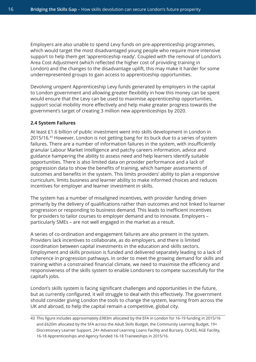Employers are also unable to spend Levy funds on pre-apprenticeship programmes, which would target the most disadvantaged young people who require more intensive support to help them get 'apprenticeship ready'. Coupled with the removal of London's Area Cost Adjustment (which reflected the higher cost of providing training in London) and the changes to the disadvantage uplift, this may make it harder for some underrepresented groups to gain access to apprenticeship opportunities.

Devolving unspent Apprenticeship Levy funds generated by employers in the capital to London government and allowing greater flexibility in how this money can be spent would ensure that the Levy can be used to maximise apprenticeship opportunities, support social mobility more effectively and help make greater progress towards the government's target of creating 3 million new apprenticeships by 2020.

#### **2.4 System Failures**

At least £1.6 billion of public investment went into skills development in London in 2015/16.43 However, London is not getting bang for its buck due to a series of system failures. There are a number of information failures in the system, with insufficiently granular Labour Market Intelligence and patchy careers information, advice and guidance hampering the ability to assess need and help learners identify suitable opportunities. There is also limited data on provider performance and a lack of progression data to show the benefits of training, which hamper assessments of outcomes and benefits in the system. This limits providers' ability to plan a responsive curriculum, limits business and learner ability to make informed choices and reduces incentives for employer and learner investment in skills.

The system has a number of misaligned incentives, with provider funding driven primarily by the delivery of qualifications rather than outcomes and not linked to learner progression or responding to business demand. This leads to inefficient incentives for providers to tailor courses to employer demand and to innovate. Employers – particularly SMEs – are not well engaged in the market as a result.

A series of co-ordination and engagement failures are also present in the system. Providers lack incentives to collaborate, as do employers, and there is limited coordination between capital investments in the education and skills sectors. Employment and skills provision is funded and delivered separately leading to a lack of coherence in progression pathways. In order to meet the growing demand for skills and training within a constrained financial climate, we need to maximise the efficiency and responsiveness of the skills system to enable Londoners to compete successfully for the capital's jobs.

London's skills system is facing significant challenges and opportunities in the future, but as currently configured, it will struggle to deal with this effectively. The government should consider giving London the tools to change the system, learning from across the UK and abroad, to help the capital remain a competitive, global city.

<sup>43</sup> This figure includes approximately £983m allocated by the EFA in London for 16-19 funding in 2015/16 and £620m allocated by the SFA across the Adult Skills Budget, the Community Learning Budget, 19+ Discretionary Learner Support, 24+ Advanced Learning Loans Facility and Bursary, OLASS, AGE Facility, 16-18 Apprenticeships and Agency funded 16-18 Traineeships in 2015/16.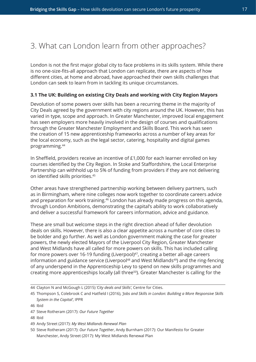## 3. What can London learn from other approaches?

London is not the first major global city to face problems in its skills system. While there is no one-size-fits-all approach that London can replicate, there are aspects of how different cities, at home and abroad, have approached their own skills challenges that London can seek to learn from in tackling its unique circumstances.

#### **3.1 The UK: Building on existing City Deals and working with City Region Mayors**

Devolution of some powers over skills has been a recurring theme in the majority of City Deals agreed by the government with city regions around the UK. However, this has varied in type, scope and approach. In Greater Manchester, improved local engagement has seen employers more heavily involved in the design of courses and qualifications through the Greater Manchester Employment and Skills Board. This work has seen the creation of 15 new apprenticeship frameworks across a number of key areas for the local economy, such as the legal sector, catering, hospitality and digital games programming.44

In Sheffield, providers receive an incentive of £1,000 for each learner enrolled on key courses identified by the City Region. In Stoke and Staffordshire, the Local Enterprise Partnership can withhold up to 5% of funding from providers if they are not delivering on identified skills priorities.45

Other areas have strengthened partnership working between delivery partners, such as in Birmingham, where nine colleges now work together to coordinate careers advice and preparation for work training.<sup>46</sup> London has already made progress on this agenda, through London Ambitions, demonstrating the capital's ability to work collaboratively and deliver a successful framework for careers information, advice and guidance.

These are small but welcome steps in the right direction ahead of fuller devolution deals on skills. However, there is also a clear appetite across a number of core cities to be bolder and go further. As well as London government making the case for greater powers, the newly elected Mayors of the Liverpool City Region, Greater Manchester and West Midlands have all called for more powers on skills. This has included calling for more powers over 16-19 funding (Liverpool)<sup>47</sup>, creating a better all-age careers information and guidance service (Liverpool<sup>48</sup> and West Midlands<sup>49</sup>) and the ring-fencing of any underspend in the Apprenticeship Levy to spend on new skills programmes and creating more apprenticeships locally (all three<sup>50</sup>). Greater Manchester is calling for the

<sup>44</sup> Clayton N and McGough L (2015) *'City deals and Skills'*, Centre for Cities.

<sup>45</sup> Thompson S, Colebrook C and Hatfield I (2016), *'Jobs and Skills in London: Building a More Responsive Skills System in the Capital'*, IPPR

<sup>46</sup> Ibid

<sup>47</sup> Steve Rotheram (2017): *Our Future Together*

<sup>48</sup> Ibid

<sup>49</sup> Andy Street (2017): *My West Midlands Renewal Plan*

<sup>50</sup> Steve Rotheram (2017): *Our Future Together*, Andy Burnham (2017): Our Manifesto for Greater Manchester, Andy Street (2017): My West Midlands Renewal Plan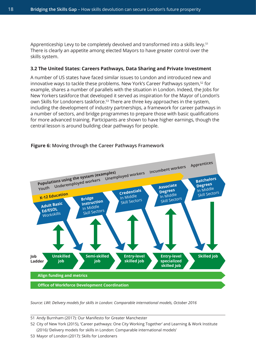Apprenticeship Levy to be completely devolved and transformed into a skills levy.<sup>51</sup> There is clearly an appetite among elected Mayors to have greater control over the skills system.

#### **3.2 The United States: Careers Pathways, Data Sharing and Private Investment**

A number of US states have faced similar issues to London and introduced new and innovative ways to tackle these problems. New York's Career Pathways system,<sup>52</sup> for example, shares a number of parallels with the situation in London. Indeed, the Jobs for New Yorkers taskforce that developed it served as inspiration for the Mayor of London's own Skills for Londoners taskforce.<sup>53</sup> There are three key approaches in the system, including the development of industry partnerships, a framework for career pathways in a number of sectors, and bridge programmes to prepare those with basic qualifications for more advanced training. Participants are shown to have higher earnings, though the central lesson is around building clear pathways for people.



#### **Figure 6: Moving through the Career Pathways Framework**

*Source: LWI: Delivery models for skills in London: Comparable international models, October 2016*

51 Andy Burnham (2017): Our Manifesto for Greater Manchester

- 52 City of New York (2015), 'Career pathways: One City Working Together' and Learning & Work Institute (2016) 'Delivery models for skills in London: Comparable international models'
- 53 Mayor of London (2017): Skills for Londoners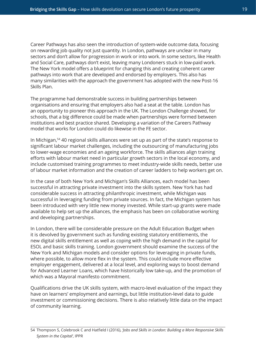Career Pathways has also seen the introduction of system-wide outcome data, focusing on rewarding job quality not just quantity. In London, pathways are unclear in many sectors and don't allow for progression in work or into work. In some sectors, like Health and Social Care, pathways don't exist, leaving many Londoners stuck in low-paid work. The New York model offers a blueprint for changing this and creating coherent career pathways into work that are developed and endorsed by employers. This also has many similarities with the approach the government has adopted with the new Post-16 Skills Plan.

The programme had demonstrable success in building partnerships between organisations and ensuring that employers also had a seat at the table. London has an opportunity to pioneer this approach in the UK. The London Challenge showed, for schools, that a big difference could be made when partnerships were formed between institutions and best practice shared. Developing a variation of the Careers Pathway model that works for London could do likewise in the FE sector.

In Michigan,<sup>54</sup> 40 regional skills alliances were set up as part of the state's response to significant labour market challenges, including the outsourcing of manufacturing jobs to lower-wage economies and an ageing workforce. The skills alliances align training efforts with labour market need in particular growth sectors in the local economy, and include customised training programmes to meet industry-wide skills needs, better use of labour market information and the creation of career ladders to help workers get on.

In the case of both New York and Michigan's Skills Alliances, each model has been successful in attracting private investment into the skills system. New York has had considerable success in attracting philanthropic investment, while Michigan was successful in leveraging funding from private sources. In fact, the Michigan system has been introduced with very little new money invested. While start-up grants were made available to help set up the alliances, the emphasis has been on collaborative working and developing partnerships.

In London, there will be considerable pressure on the Adult Education Budget when it is devolved by government such as funding existing statutory entitlements, the new digital skills entitlement as well as coping with the high demand in the capital for ESOL and basic skills training. London government should examine the success of the New York and Michigan models and consider options for leveraging in private funds, where possible, to allow more flex in the system. This could include more effective employer engagement, delivered at a local level, and exploring ways to boost demand for Advanced Learner Loans, which have historically low take-up, and the promotion of which was a Mayoral manifesto commitment.

Qualifications drive the UK skills system, with macro-level evaluation of the impact they have on learners' employment and earnings, but little institution-level data to guide investment or commissioning decisions. There is also relatively little data on the impact of community learning.

<sup>54</sup> Thompson S, Colebrook C and Hatfield I (2016), *'Jobs and Skills in London: Building a More Responsive Skills System in the Capital'*, IPPR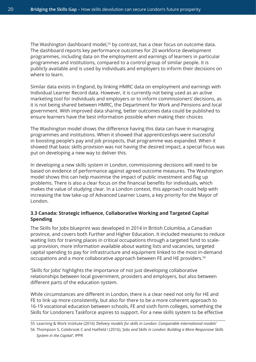The Washington dashboard model,<sup>55</sup> by contrast, has a clear focus on outcome data. The dashboard reports key performance outcomes for 20 workforce development programmes, including data on the employment and earnings of learners in particular programmes and institutions, compared to a control group of similar people. It is publicly available and is used by individuals and employers to inform their decisions on where to learn.

Similar data exists in England, by linking HMRC data on employment and earnings with Individual Learner Record data. However, it is currently not being used as an active marketing tool for individuals and employers or to inform commissioners' decisions, as it is not being shared between HMRC, the Department for Work and Pensions and local government. With improved data sharing, better outcomes data could be published to ensure learners have the best information possible when making their choices

The Washington model shows the difference having this data can have in managing programmes and institutions. When it showed that apprenticeships were successful in boosting people's pay and job prospects, that programme was expanded. When it showed that basic skills provision was not having the desired impact, a special focus was put on developing a new way to deliver this.

In developing a new skills system in London, commissioning decisions will need to be based on evidence of performance against agreed outcome measures. The Washington model shows this can help maximise the impact of public investment and flag up problems. There is also a clear focus on the financial benefits for individuals, which makes the value of studying clear. In a London context, this approach could help with increasing the low take-up of Advanced Learner Loans, a key priority for the Mayor of London.

#### **3.3 Canada: Strategic influence, Collaborative Working and Targeted Capital Spending**

The Skills for Jobs blueprint was developed in 2014 in British Columbia, a Canadian province, and covers both Further and Higher Education. It included measures to reduce waiting lists for training places in critical occupations through a targeted fund to scaleup provision, more information available about waiting lists and vacancies, targeted capital spending to pay for infrastructure and equipment linked to the most in-demand occupations and a more collaborative approach between FE and HE providers.<sup>56</sup>

'Skills for Jobs' highlights the importance of not just developing collaborative relationships between local government, providers and employers, but also between different parts of the education system.

While circumstances are different in London, there is a clear need not only for HE and FE to link up more consistently, but also for there to be a more coherent approach to 16-19 vocational education between schools, FE and sixth form colleges, something the Skills for Londoners Taskforce aspires to support. For a new skills system to be effective

<sup>55</sup> Learning & Work Institute (2016) *'Delivery models for skills in London: Comparable international models'*

<sup>56</sup> Thompson S, Colebrook C and Hatfield I (2016), '*Jobs and Skills in London: Building a More Responsive Skills System in the Capital'*, IPPR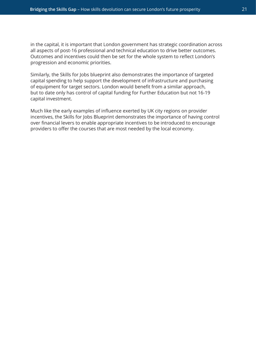in the capital, it is important that London government has strategic coordination across all aspects of post-16 professional and technical education to drive better outcomes. Outcomes and incentives could then be set for the whole system to reflect London's progression and economic priorities.

Similarly, the Skills for Jobs blueprint also demonstrates the importance of targeted capital spending to help support the development of infrastructure and purchasing of equipment for target sectors. London would benefit from a similar approach, but to date only has control of capital funding for Further Education but not 16-19 capital investment.

Much like the early examples of influence exerted by UK city regions on provider incentives, the Skills for Jobs Blueprint demonstrates the importance of having control over financial levers to enable appropriate incentives to be introduced to encourage providers to offer the courses that are most needed by the local economy.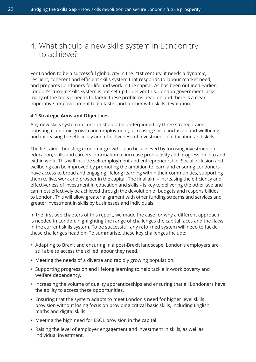## 4. What should a new skills system in London try to achieve?

For London to be a successful global city in the 21st century, it needs a dynamic, resilient, coherent and efficient skills system that responds to labour market need, and prepares Londoners for life and work in the capital. As has been outlined earlier, London's current skills system is not set up to deliver this. London government lacks many of the tools it needs to tackle these problems head on and there is a clear imperative for government to go faster and further with skills devolution.

#### **4.1 Strategic Aims and Objectives**

Any new skills system in London should be underpinned by three strategic aims: boosting economic growth and employment, increasing social inclusion and wellbeing and increasing the efficiency and effectiveness of investment in education and skills.

The first aim – boosting economic growth – can be achieved by focusing investment in education, skills and careers information to increase productivity and progression into and within work. This will include self-employment and entrepreneurship. Social inclusion and wellbeing can be improved by promoting the ambition to learn and ensuring Londoners have access to broad and engaging lifelong learning within their communities, supporting them to live, work and prosper in the capital. The final aim – increasing the efficiency and effectiveness of investment in education and skills – is key to delivering the other two and can most effectively be achieved through the devolution of budgets and responsibilities to London. This will allow greater alignment with other funding streams and services and greater investment in skills by businesses and individuals.

In the first two chapters of this report, we made the case for why a different approach is needed in London, highlighting the range of challenges the capital faces and the flaws in the current skills system. To be successful, any reformed system will need to tackle these challenges head on. To summarise, these key challenges include:

- Adapting to Brexit and ensuring in a post-Brexit landscape, London's employers are still able to access the skilled labour they need.
- Meeting the needs of a diverse and rapidly growing population.
- Supporting progression and lifelong learning to help tackle in-work poverty and welfare dependency.
- Increasing the volume of quality apprenticeships and ensuring that all Londoners have the ability to access these opportunities.
- Ensuring that the system adapts to meet London's need for higher level skills provision without losing focus on providing critical basic skills, including English, maths and digital skills.
- Meeting the high need for ESOL provision in the capital.
- Raising the level of employer engagement and investment in skills, as well as individual investment.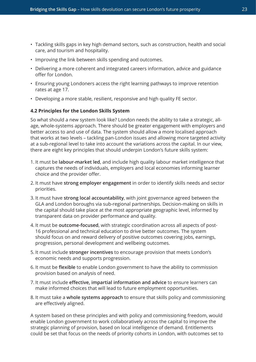- Tackling skills gaps in key high demand sectors, such as construction, health and social care, and tourism and hospitality.
- Improving the link between skills spending and outcomes.
- Delivering a more coherent and integrated careers information, advice and guidance offer for London.
- Ensuring young Londoners access the right learning pathways to improve retention rates at age 17.
- Developing a more stable, resilient, responsive and high quality FE sector.

#### **4.2 Principles for the London Skills System**

So what should a new system look like? London needs the ability to take a strategic, allage, whole-systems approach. There should be greater engagement with employers and better access to and use of data. The system should allow a more localised approach that works at two levels – tackling pan-London issues and allowing more targeted activity at a sub-regional level to take into account the variations across the capital. In our view, there are eight key principles that should underpin London's future skills system:

- 1. It must be **labour-market led**, and include high quality labour market intelligence that captures the needs of individuals, employers and local economies informing learner choice and the provider offer.
- 2. It must have **strong employer engagement** in order to identify skills needs and sector priorities.
- 3. It must have **strong local accountability**, with joint governance agreed between the GLA and London boroughs via sub-regional partnerships. Decision-making on skills in the capital should take place at the most appropriate geographic level, informed by transparent data on provider performance and quality.
- 4. It must be **outcome-focused**, with strategic coordination across all aspects of post-16 professional and technical education to drive better outcomes. The system should focus on and reward delivery of positive outcomes covering jobs, earnings, progression, personal development and wellbeing outcomes.
- 5. It must include **stronger incentives** to encourage provision that meets London's economic needs and supports progression.
- 6. It must be **flexible** to enable London government to have the ability to commission provision based on analysis of need.
- 7. It must include **effective, impartial information and advice** to ensure learners can make informed choices that will lead to future employment opportunities.
- 8. It must take a **whole systems approach** to ensure that skills policy and commissioning are effectively aligned.

A system based on these principles and with policy and commissioning freedom, would enable London government to work collaboratively across the capital to improve the strategic planning of provision, based on local intelligence of demand. Entitlements could be set that focus on the needs of priority cohorts in London, with outcomes set to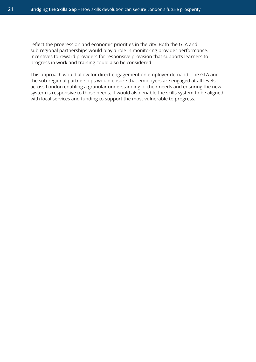reflect the progression and economic priorities in the city. Both the GLA and sub-regional partnerships would play a role in monitoring provider performance. Incentives to reward providers for responsive provision that supports learners to progress in work and training could also be considered.

This approach would allow for direct engagement on employer demand. The GLA and the sub-regional partnerships would ensure that employers are engaged at all levels across London enabling a granular understanding of their needs and ensuring the new system is responsive to those needs. It would also enable the skills system to be aligned with local services and funding to support the most vulnerable to progress.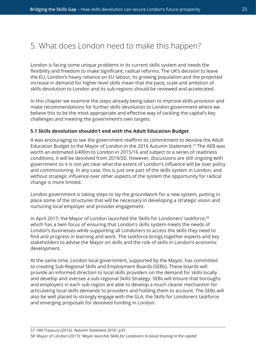## 5. What does London need to make this happen?

London is facing some unique problems in its current skills system and needs the flexibility and freedom to make significant, radical reforms. The UK's decision to leave the EU, London's heavy reliance on EU labour, its growing population and the projected increase in demand for higher-level skills mean that the pace, scale and ambition of skills devolution to London and its sub-regions should be reviewed and accelerated.

In this chapter we examine the steps already being taken to improve skills provision and make recommendations for further skills devolution to London government where we believe this to be the most appropriate and effective way of tackling the capital's key challenges and meeting the government's own targets.

#### **5.1 Skills devolution shouldn't end with the Adult Education Budget**

It was encouraging to see the government reaffirm its commitment to devolve the Adult Education Budget to the Mayor of London in the 2016 Autumn Statement.57 The AEB was worth an estimated £400m to London in 2015/16 and subject to a series of readiness conditions, it will be devolved from 2019/20. However, discussions are still ongoing with government so it is not yet clear what the extent of London's influence will be over policy and commissioning. In any case, this is just one part of the skills system in London, and without strategic influence over other aspects of the system the opportunity for radical change is more limited.

London government is taking steps to lay the groundwork for a new system, putting in place some of the structures that will be necessary in developing a strategic vision and nurturing local employer and provider engagement.

In April 2017, the Mayor of London launched the 'Skills for Londoners' taskforce.<sup>58</sup> which has a twin focus of ensuring that London's skills system meets the needs of London's businesses while supporting all Londoners to access the skills they need to find and progress in learning and work. The taskforce brings together experts and key stakeholders to advise the Mayor on skills and the role of skills in London's economic development.

At the same time, London local government, supported by the Mayor, has committed to creating Sub-Regional Skills and Employment Boards (SEBs). These boards will provide an informed direction to local skills providers on the demand for skills locally and develop and oversee a sub-regional Skills Strategy. SEBs will ensure that boroughs and employers in each sub-region are able to develop a much clearer mechanism for articulating local skills demands to providers and holding them to account. The SEBs will also be well placed to strongly engage with the GLA, the Skills for Londoners taskforce and emerging proposals for devolved funding in London.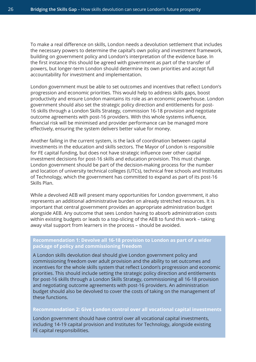To make a real difference on skills, London needs a devolution settlement that includes the necessary powers to determine the capital's own policy and investment framework, building on government policy and London's interpretation of the evidence base. In the first instance this should be agreed with government as part of the transfer of powers, but longer-term London should determine its own priorities and accept full accountability for investment and implementation.

London government must be able to set outcomes and incentives that reflect London's progression and economic priorities. This would help to address skills gaps, boost productivity and ensure London maintains its role as an economic powerhouse. London government should also set the strategic policy direction and entitlements for post-16 skills through a London Skills Strategy, commission 16-18 provision and negotiate outcome agreements with post-16 providers. With this whole systems influence, financial risk will be minimised and provider performance can be managed more effectively, ensuring the system delivers better value for money.

Another failing in the current system, is the lack of coordination between capital investments in the education and skills sectors. The Mayor of London is responsible for FE capital funding, but does not have strategic influence over other capital investment decisions for post-16 skills and education provision. This must change. London government should be part of the decision-making process for the number and location of university technical colleges (UTCs), technical free schools and Institutes of Technology, which the government has committed to expand as part of its post-16 Skills Plan.

While a devolved AEB will present many opportunities for London government, it also represents an additional administrative burden on already stretched resources. It is important that central government provides an appropriate administration budget alongside AEB. Any outcome that sees London having to absorb administration costs within existing budgets or leads to a top-slicing of the AEB to fund this work – taking away vital support from learners in the process – should be avoided.

#### **Recommendation 1: Devolve all 16-18 provision to London as part of a wider package of policy and commissioning freedom**

A London skills devolution deal should give London government policy and commissioning freedom over adult provision and the ability to set outcomes and incentives for the whole skills system that reflect London's progression and economic priorities. This should include setting the strategic policy direction and entitlements for post-16 skills through a London Skills Strategy, commissioning all 16-18 provision and negotiating outcome agreements with post-16 providers. An administration budget should also be devolved to cover the costs of taking on the management of these functions.

#### **Recommendation 2: Give London control over all vocational capital investments**

London government should have control over all vocational capital investments, including 14-19 capital provision and Institutes for Technology, alongside existing FE capital responsibilities.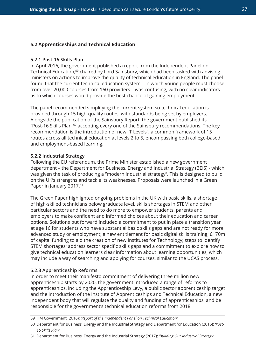#### **5.2 Apprenticeships and Technical Education**

#### **5.2.1 Post-16 Skills Plan**

In April 2016, the government published a report from the Independent Panel on Technical Education,<sup>59</sup> chaired by Lord Sainsbury, which had been tasked with advising ministers on actions to improve the quality of technical education in England. The panel found that the current technical education system – in which young people must choose from over 20,000 courses from 160 providers – was confusing, with no clear indicators as to which courses would provide the best chance of gaining employment.

The panel recommended simplifying the current system so technical education is provided through 15 high-quality routes, with standards being set by employers. Alongside the publication of the Sainsbury Report, the government published its "Post-16 Skills Plan"60 accepting every one of the Sainsbury recommendations. The key recommendation is the introduction of new "T Levels", a common framework of 15 routes across all technical education at levels 2 to 5, encompassing both college-based and employment-based learning.

#### **5.2.2 Industrial Strategy**

Following the EU referendum, the Prime Minister established a new government department – the Department for Business, Energy and Industrial Strategy (BEIS) - which was given the task of producing a "modern industrial strategy". This is designed to build on the UK's strengths and tackle its weaknesses. Proposals were launched in a Green Paper in January 2017.<sup>61</sup>

The Green Paper highlighted ongoing problems in the UK with basic skills, a shortage of high-skilled technicians below graduate level, skills shortages in STEM and other particular sectors and the need to do more to empower students, parents and employers to make confident and informed choices about their education and career options. Solutions put forward included a commitment to put in place a transition year at age 16 for students who have substantial basic skills gaps and are not ready for more advanced study or employment; a new entitlement for basic digital skills training; £170m of capital funding to aid the creation of new Institutes for Technology; steps to identify STEM shortages; address sector specific skills gaps and a commitment to explore how to give technical education learners clear information about learning opportunities, which may include a way of searching and applying for courses, similar to the UCAS process.

#### **5.2.3 Apprenticeship Reforms**

In order to meet their manifesto commitment of delivering three million new apprenticeship starts by 2020, the government introduced a range of reforms to apprenticeships, including the Apprenticeship Levy, a public sector apprenticeship target and the introduction of the Institute of Apprenticeships and Technical Education, a new independent body that will regulate the quality and funding of apprenticeships, and be responsible for the government's technical education reforms from 2018.

<sup>59</sup> HM Government (2016): *'Report of the Independent Panel on Technical Education'*

<sup>60</sup> Department for Business, Energy and the Industrial Strategy and Department for Education (2016): *'Post-16 Skills Plan'*

<sup>61</sup> Department for Business, Energy and the Industrial Strategy (2017): *'Building Our Industrial Strategy'*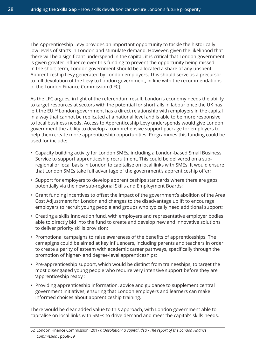The Apprenticeship Levy provides an important opportunity to tackle the historically low levels of starts in London and stimulate demand. However, given the likelihood that there will be a significant underspend in the capital, it is critical that London government is given greater influence over this funding to prevent the opportunity being missed. In the short-term, London government should be allocated a share of any unspent Apprenticeship Levy generated by London employers. This should serve as a precursor to full devolution of the Levy to London government, in line with the recommendations of the London Finance Commission (LFC).

As the LFC argues, in light of the referendum result, London's economy needs the ability to target resources at sectors with the potential for shortfalls in labour once the UK has left the EU.<sup>62</sup> London government has a direct relationship with employers in the capital in a way that cannot be replicated at a national level and is able to be more responsive to local business needs. Access to Apprenticeship Levy underspends would give London government the ability to develop a comprehensive support package for employers to help them create more apprenticeship opportunities. Programmes this funding could be used for include:

- Capacity building activity for London SMEs, including a London-based Small Business Service to support apprenticeship recruitment. This could be delivered on a subregional or local basis in London to capitalise on local links with SMEs. It would ensure that London SMEs take full advantage of the government's apprenticeship offer;
- Support for employers to develop apprenticeships standards where there are gaps, potentially via the new sub-regional Skills and Employment Boards;
- Grant funding incentives to offset the impact of the government's abolition of the Area Cost Adjustment for London and changes to the disadvantage uplift to encourage employers to recruit young people and groups who typically need additional support;
- Creating a skills innovation fund, with employers and representative employer bodies able to directly bid into the fund to create and develop new and innovative solutions to deliver priority skills provision;
- Promotional campaigns to raise awareness of the benefits of apprenticeships. The camapigns could be aimed at key influencers, including parents and teachers in order to create a parity of esteem with academic career pathways, specifically through the promotion of higher- and degree-level apprenticeships;
- Pre-apprenticeship support, which would be distinct from traineeships, to target the most disengaged young people who require very intensive support before they are 'apprenticeship ready';
- Providing apprenticeship information, advice and guidance to supplement central government initiatives, ensuring that London employers and learners can make informed choices about apprenticeship training.

There would be clear added value to this approach, with London government able to capitalise on local links with SMEs to drive demand and meet the capital's skills needs.

<sup>62</sup> London Finance Commission (2017): *'Devolution: a capital idea - The report of the London Finance Commission'*, pp58-59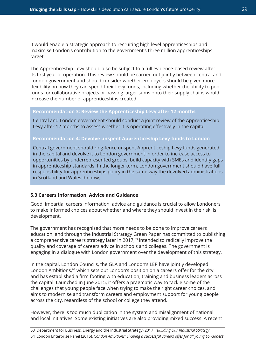It would enable a strategic approach to recruiting high-level apprenticeships and maximise London's contribution to the government's three million apprenticeships target.

The Apprenticeship Levy should also be subject to a full evidence-based review after its first year of operation. This review should be carried out jointly between central and London government and should consider whether employers should be given more flexibility on how they can spend their Levy funds, including whether the ability to pool funds for collaborative projects or passing larger sums onto their supply chains would increase the number of apprenticeships created.

#### **Recommendation 3: Review the Apprenticeship Levy after 12 months**

Central and London government should conduct a joint review of the Apprenticeship Levy after 12 months to assess whether it is operating effectively in the capital.

#### **Recommendation 4: Devolve unspent Apprenticeship Levy funds to London**

Central government should ring-fence unspent Apprenticeship Levy funds generated in the capital and devolve it to London government in order to increase access to opportunities by underrepresented groups, build capacity with SMEs and identify gaps in apprenticeship standards. In the longer term, London government should have full responsibility for apprenticeships policy in the same way the devolved administrations in Scotland and Wales do now.

#### **5.3 Careers Information, Advice and Guidance**

Good, impartial careers information, advice and guidance is crucial to allow Londoners to make informed choices about whether and where they should invest in their skills development.

The government has recognised that more needs to be done to improve careers education, and through the Industrial Strategy Green Paper has committed to publishing a comprehensive careers strategy later in  $2017<sub>,63</sub>$  intended to radically improve the quality and coverage of careers advice in schools and colleges. The government is engaging in a dialogue with London government over the development of this strategy.

In the capital, London Councils, the GLA and London's LEP have jointly developed London Ambitions, $64$  which sets out London's position on a careers offer for the city and has established a firm footing with education, training and business leaders across the capital. Launched in June 2015, it offers a pragmatic way to tackle some of the challenges that young people face when trying to make the right career choices, and aims to modernise and transform careers and employment support for young people across the city, regardless of the school or college they attend.

However, there is too much duplication in the system and misalignment of national and local initiatives. Some existing initiatives are also providing mixed success. A recent

63 Department for Business, Energy and the Industrial Strategy (2017): *'Building Our Industrial Strategy'* 64 London Enterprise Panel (2015), *'London Ambitions: Shaping a successful careers offer for all young Londoners'*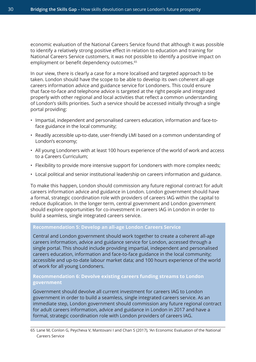economic evaluation of the National Careers Service found that although it was possible to identify a relatively strong positive effect in relation to education and training for National Careers Service customers, it was not possible to identify a positive impact on employment or benefit dependency outcomes.<sup>65</sup>

In our view, there is clearly a case for a more localised and targeted approach to be taken. London should have the scope to be able to develop its own coherent all-age careers information advice and guidance service for Londoners. This could ensure that face-to-face and telephone advice is targeted at the right people and integrated properly with other regional and local activities that reflect a common understanding of London's skills priorities. Such a service should be accessed initially through a single portal providing:

- Impartial, independent and personalised careers education, information and face-toface guidance in the local community;
- Readily accessible up-to-date, user-friendly LMI based on a common understanding of London's economy;
- All young Londoners with at least 100 hours experience of the world of work and access to a Careers Curriculum;
- Flexibility to provide more intensive support for Londoners with more complex needs;
- Local political and senior institutional leadership on careers information and guidance.

To make this happen, London should commission any future regional contract for adult careers information advice and guidance in London. London government should have a formal, strategic coordination role with providers of careers IAG within the capital to reduce duplication. In the longer term, central government and London government should explore opportunities for co-investment in careers IAG in London in order to build a seamless, single integrated careers service.

#### **Recommendation 5: Develop an all-age London Careers Service**

Central and London government should work together to create a coherent all-age careers information, advice and guidance service for London, accessed through a single portal. This should include providing impartial, independent and personalised careers education, information and face-to-face guidance in the local community; accessible and up-to-date labour market data; and 100 hours experience of the world of work for all young Londoners.

#### **Recommendation 6: Devolve existing careers funding streams to London government**

Government should devolve all current investment for careers IAG to London government in order to build a seamless, single integrated careers service. As an immediate step, London government should commission any future regional contract for adult careers information, advice and guidance in London in 2017 and have a formal, strategic coordination role with London providers of careers IAG.

65 Lane M, Conlon G, Peycheva V, Mantovani I and Chan S (2017), 'An Economic Evaluation of the National Careers Service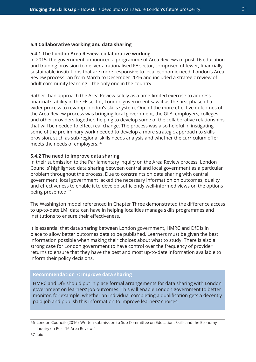#### **5.4 Collaborative working and data sharing**

#### **5.4.1 The London Area Review: collaborative working**

In 2015, the government announced a programme of Area Reviews of post-16 education and training provision to deliver a rationalised FE sector, comprised of fewer, financially sustainable institutions that are more responsive to local economic need. London's Area Review process ran from March to December 2016 and included a strategic review of adult community learning – the only one in the country.

Rather than approach the Area Review solely as a time-limited exercise to address financial stability in the FE sector, London government saw it as the first phase of a wider process to revamp London's skills system. One of the more effective outcomes of the Area Review process was bringing local government, the GLA, employers, colleges and other providers together, helping to develop some of the collaborative relationships that will be needed to effect real change. The process was also helpful in instigating some of the preliminary work needed to develop a more strategic approach to skills provision, such as sub-regional skills needs analysis and whether the curriculum offer meets the needs of employers.<sup>66</sup>

#### **5.4.2 The need to improve data sharing**

In their submission to the Parliamentary inquiry on the Area Review process, London Councils' highlighted data sharing between central and local government as a particular problem throughout the process. Due to constraints on data sharing with central government, local government lacked the necessary information on outcomes, quality and effectiveness to enable it to develop sufficiently well-informed views on the options being presented.<sup>67</sup>

The Washington model referenced in Chapter Three demonstrated the difference access to up-to-date LMI data can have in helping localities manage skills programmes and institutions to ensure their effectiveness.

It is essential that data sharing between London government, HMRC and DfE is in place to allow better outcomes data to be published. Learners must be given the best information possible when making their choices about what to study. There is also a strong case for London government to have control over the frequency of provider returns to ensure that they have the best and most up-to-date information available to inform their policy decisions.

#### **Recommendation 7: Improve data sharing**

HMRC and DfE should put in place formal arrangements for data sharing with London government on learners' job outcomes. This will enable London government to better monitor, for example, whether an individual completing a qualification gets a decently paid job and publish this information to improve learners' choices.

<sup>66</sup> London Councils (2016) 'Written submission to Sub Committee on Education, Skills and the Economy Inquiry on Post-16 Area Reviews'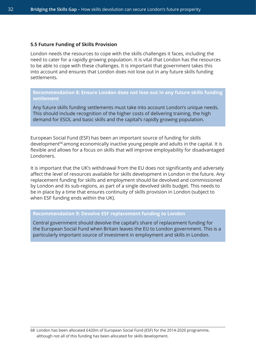#### **5.5 Future Funding of Skills Provision**

London needs the resources to cope with the skills challenges it faces, including the need to cater for a rapidly growing population. It is vital that London has the resources to be able to cope with these challenges. It is important that government takes this into account and ensures that London does not lose out in any future skills funding settlements.

#### **Recommendation 8: Ensure London does not lose out in any future skills funding settlement**

Any future skills funding settlements must take into account London's unique needs. This should include recognition of the higher costs of delivering training, the high demand for ESOL and basic skills and the capital's rapidly growing population.

European Social Fund (ESF) has been an important source of funding for skills development<sup>68</sup> among economically inactive young people and adults in the capital. It is flexible and allows for a focus on skills that will improve employability for disadvantaged Londoners.

It is important that the UK's withdrawal from the EU does not significantly and adversely affect the level of resources available for skills development in London in the future. Any replacement funding for skills and employment should be devolved and commissioned by London and its sub-regions, as part of a single devolved skills budget. This needs to be in place by a time that ensures continuity of skills provision in London (subject to when ESF funding ends within the UK).

#### **Recommendation 9: Devolve ESF replacement funding to London**

Central government should devolve the capital's share of replacement funding for the European Social Fund when Britain leaves the EU to London government. This is a particularly important source of investment in employment and skills in London.

68 London has been allocated £420m of European Social Fund (ESF) for the 2014-2020 programme, although not all of this funding has been allocated for skills development.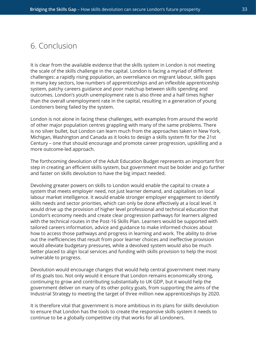## 6. Conclusion

It is clear from the available evidence that the skills system in London is not meeting the scale of the skills challenge in the capital. London is facing a myriad of different challenges: a rapidly rising population, an overreliance on migrant labour, skills gaps in many key sectors, low numbers of apprenticeships and an inflexible apprenticeship system, patchy careers guidance and poor matchup between skills spending and outcomes. London's youth unemployment rate is also three and a half times higher than the overall unemployment rate in the capital, resulting in a generation of young Londoners being failed by the system.

London is not alone in facing these challenges, with examples from around the world of other major population centres grappling with many of the same problems. There is no silver bullet, but London can learn much from the approaches taken in New York, Michigan, Washington and Canada as it looks to design a skills system fit for the 21st Century – one that should encourage and promote career progression, upskilling and a more outcome-led approach.

The forthcoming devolution of the Adult Education Budget represents an important first step in creating an efficient skills system, but government must be bolder and go further and faster on skills devolution to have the big impact needed.

Devolving greater powers on skills to London would enable the capital to create a system that meets employer need, not just learner demand, and capitalises on local labour market intelligence. It would enable stronger employer engagement to identify skills needs and sector priorities, which can only be done effectively at a local level. It would drive up the provision of higher level professional and technical education that London's economy needs and create clear progression pathways for learners aligned with the technical routes in the Post-16 Skills Plan. Learners would be supported with tailored careers information, advice and guidance to make informed choices about how to access those pathways and progress in learning and work. The ability to drive out the inefficiencies that result from poor learner choices and ineffective provision would alleviate budgetary pressures, while a devolved system would also be much better placed to align local services and funding with skills provision to help the most vulnerable to progress.

Devolution would encourage changes that would help central government meet many of its goals too. Not only would it ensure that London remains economically strong, continuing to grow and contributing substantially to UK GDP, but it would help the government deliver on many of its other policy goals, from supporting the aims of the Industrial Strategy to meeting the target of three million new apprenticeships by 2020.

It is therefore vital that government is more ambitious in its plans for skills devolution to ensure that London has the tools to create the responsive skills system it needs to continue to be a globally competitive city that works for all Londoners.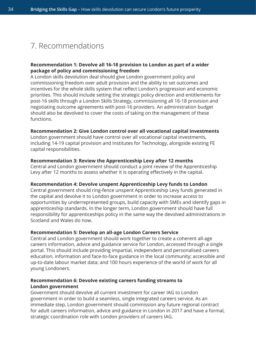## 7. Recommendations

#### **Recommendation 1: Devolve all 16-18 provision to London as part of a wider package of policy and commissioning freedom**

A London skills devolution deal should give London government policy and commissioning freedom over adult provision and the ability to set outcomes and incentives for the whole skills system that reflect London's progression and economic priorities. This should include setting the strategic policy direction and entitlements for post-16 skills through a London Skills Strategy, commissioning all 16-18 provision and negotiating outcome agreements with post-16 providers. An administration budget should also be devolved to cover the costs of taking on the management of these functions.

#### **Recommendation 2: Give London control over all vocational capital investments**

London government should have control over all vocational capital investments, including 14-19 capital provision and Institutes for Technology, alongside existing FE capital responsibilities.

#### **Recommendation 3: Review the Apprenticeship Levy after 12 months**

Central and London government should conduct a joint review of the Apprenticeship Levy after 12 months to assess whether it is operating effectively in the capital.

#### **Recommendation 4: Devolve unspent Apprenticeship Levy funds to London**

Central government should ring-fence unspent Apprenticeship Levy funds generated in the capital and devolve it to London government in order to increase access to opportunities by underrepresented groups, build capacity with SMEs and identify gaps in apprenticeship standards. In the longer term, London government should have full responsibility for apprenticeships policy in the same way the devolved administrations in Scotland and Wales do now.

#### **Recommendation 5: Develop an all-age London Careers Service**

Central and London government should work together to create a coherent all-age careers information, advice and guidance service for London, accessed through a single portal. This should include providing impartial, independent and personalised careers education, information and face-to-face guidance in the local community; accessible and up-to-date labour market data; and 100 hours experience of the world of work for all young Londoners.

#### **Recommendation 6: Devolve existing careers funding streams to London government**

Government should devolve all current investment for career IAG to London government in order to build a seamless, single integrated careers service. As an immediate step, London government should commission any future regional contract for adult careers information, advice and guidance in London in 2017 and have a formal, strategic coordination role with London providers of careers IAG.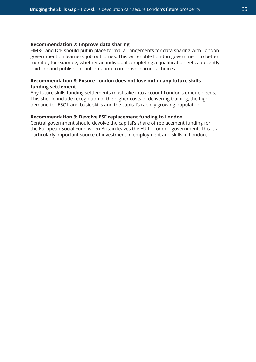#### **Recommendation 7: Improve data sharing**

HMRC and DfE should put in place formal arrangements for data sharing with London government on learners' job outcomes. This will enable London government to better monitor, for example, whether an individual completing a qualification gets a decently paid job and publish this information to improve learners' choices.

#### **Recommendation 8: Ensure London does not lose out in any future skills funding settlement**

Any future skills funding settlements must take into account London's unique needs. This should include recognition of the higher costs of delivering training, the high demand for ESOL and basic skills and the capital's rapidly growing population.

#### **Recommendation 9: Devolve ESF replacement funding to London**

Central government should devolve the capital's share of replacement funding for the European Social Fund when Britain leaves the EU to London government. This is a particularly important source of investment in employment and skills in London.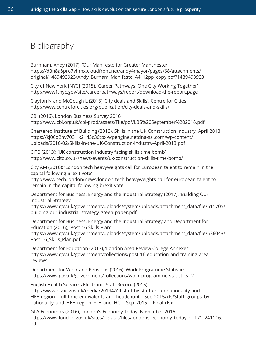## Bibliography

Burnham, Andy (2017), 'Our Manifesto for Greater Manchester' https://d3n8a8pro7vhmx.cloudfront.net/andy4mayor/pages/68/attachments/ original/1489493923/Andy\_Burham\_Manifesto\_A4\_12pp\_copy.pdf?1489493923

City of New York [NYC] (2015), 'Career Pathways: One City Working Together' http://www1.nyc.gov/site/careerpathways/report/download-the-report.page

Clayton N and McGough L (2015) 'City deals and Skills', Centre for Cities. http://www.centreforcities.org/publication/city-deals-and-skills/

CBI (2016), London Business Survey 2016 http://www.cbi.org.uk/cbi-prod/assets/File/pdf/LBS%20September%202016.pdf

Chartered Institute of Building (2013), Skills in the UK Construction Industry, April 2013 https://kj06q2hv7031ix2143c36tpx-wpengine.netdna-ssl.com/wp-content/ uploads/2016/02/Skills-in-the-UK-Construction-Industry-April-2013.pdf

CITB (2013): 'UK construction industry facing skills time bomb' http://www.citb.co.uk/news-events/uk-construction-skills-time-bomb/

City AM (2016): 'London tech heavyweights call for European talent to remain in the capital following Brexit vote'

http://www.tech.london/news/london-tech-heavyweights-call-for-european-talent-toremain-in-the-capital-following-brexit-vote

Department for Business, Energy and the Industrial Strategy (2017), 'Building Our Industrial Strategy'

https://www.gov.uk/government/uploads/system/uploads/attachment\_data/file/611705/ building-our-industrial-strategy-green-paper.pdf

Department for Business, Energy and the Industrial Strategy and Department for Education (2016), 'Post-16 Skills Plan'

https://www.gov.uk/government/uploads/system/uploads/attachment\_data/file/536043/ Post-16\_Skills\_Plan.pdf

Department for Education (2017), 'London Area Review College Annexes' https://www.gov.uk/government/collections/post-16-education-and-training-areareviews

Department for Work and Pensions (2016), Work Programme Statistics https://www.gov.uk/government/collections/work-programme-statistics--2

English Health Service's Electronic Staff Record (2015) http://www.hscic.gov.uk/media/20194/All-staff-by-staff-group-nationality-and-HEE-region---full-time-equivalents-and-headcount---Sep-2015/xls/Staff\_groups\_by\_ nationality\_and\_HEE\_region\_FTE\_and\_HC\_-\_Sep\_2015\_-\_Final.xlsx

GLA Economics (2016), London's Economy Today: November 2016 https://www.london.gov.uk/sites/default/files/londons\_economy\_today\_no171\_241116. pdf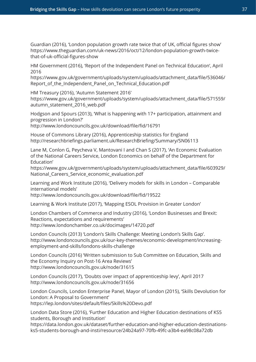Guardian (2016), 'London population growth rate twice that of UK, official figures show' https://www.theguardian.com/uk-news/2016/oct/12/london-population-growth-twicethat-of-uk-official-figures-show

HM Government (2016), 'Report of the Independent Panel on Technical Education', April 2016

https://www.gov.uk/government/uploads/system/uploads/attachment\_data/file/536046/ Report of the Independent Panel on Technical Education.pdf

HM Treasury (2016), 'Autumn Statement 2016'

https://www.gov.uk/government/uploads/system/uploads/attachment\_data/file/571559/ autumn\_statement\_2016\_web.pdf

Hodgson and Spours (2013), 'What is happening with 17+ participation, attainment and progression in London?'

http://www.londoncouncils.gov.uk/download/file/fid/16791

House of Commons Library (2016), Apprenticeship statistics for England http://researchbriefings.parliament.uk/ResearchBriefing/Summary/SN06113

Lane M, Conlon G, Peycheva V, Mantovani I and Chan S (2017), 'An Economic Evaluation of the National Careers Service, London Economics on behalf of the Department for Education'

https://www.gov.uk/government/uploads/system/uploads/attachment\_data/file/603929/ National\_Careers\_Service\_economic\_evaluation.pdf

Learning and Work Institute (2016), 'Delivery models for skills in London – Comparable international models'

http://www.londoncouncils.gov.uk/download/file/fid/19522

Learning & Work Institute (2017), 'Mapping ESOL Provision in Greater London'

London Chambers of Commerce and Industry (2016), 'London Businesses and Brexit: Reactions, expectations and requirements' http://www.londonchamber.co.uk/docimages/14720.pdf

London Councils (2013) 'London's Skills Challenge: Meeting London's Skills Gap'. http://www.londoncouncils.gov.uk/our-key-themes/economic-development/increasingemployment-and-skills/londons-skills-challenge

London Councils (2016) 'Written submission to Sub Committee on Education, Skills and the Economy Inquiry on Post-16 Area Reviews' http://www.londoncouncils.gov.uk/node/31615

London Councils (2017), 'Doubts over impact of apprenticeship levy', April 2017 http://www.londoncouncils.gov.uk/node/31656

London Councils, London Enterprise Panel, Mayor of London (2015), 'Skills Devolution for London: A Proposal to Government' https://lep.london/sites/default/files/Skills%20Devo.pdf

London Data Store (2016), 'Further Education and Higher Education destinations of KS5 students, Borough and Institution'

https://data.london.gov.uk/dataset/further-education-and-higher-education-destinationsks5-students-borough-and-insti/resource/24b24a97-70fb-49fc-a3b4-ea98c08a72db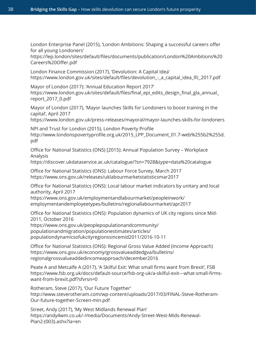London Enterprise Panel (2015), 'London Ambitions: Shaping a successful careers offer for all young Londoners'

https://lep.london/sites/default/files/documents/publication/London%20Ambitions%20 Careers%20Offer.pdf

London Finance Commission (2017), 'Devolution: A Capital Idea' https://www.london.gov.uk/sites/default/files/devolution - a capital idea lfc 2017.pdf

Mayor of London (2017): 'Annual Education Report 2017' https://www.london.gov.uk/sites/default/files/final\_epi\_edits\_design\_final\_gla\_annual report\_2017\_0.pdf

Mayor of London (2017), 'Mayor launches Skills for Londoners to boost training in the capital', April 2017

https://www.london.gov.uk/press-releases/mayoral/mayor-launches-skills-for-londoners

NPI and Trust for London (2015), London Poverty Profile http://www.londonspovertyprofile.org.uk/2015\_LPP\_Document\_01.7-web%255b2%255d. pdf

Office for National Statistics (ONS) [2015): Annual Population Survey – Workplace Analysis

https://discover.ukdataservice.ac.uk/catalogue/?sn=7928&type=data%20catalogue

Office for National Statistics (ONS): Labour Force Survey, March 2017 https://www.ons.gov.uk/releases/uklabourmarketstatisticsmar2017

Office for National Statistics (ONS): Local labour market indicators by unitary and local authority, April 2017

https://www.ons.gov.uk/employmentandlabourmarket/peopleinwork/ employmentandemployeetypes/bulletins/regionallabourmarket/apr2017

Office for National Statistics (ONS): Population dynamics of UK city regions since Mid-2011, October 2016

https://www.ons.gov.uk/peoplepopulationandcommunity/ populationandmigration/populationestimates/articles/ populationdynamicsofukcityregionssincemid2011/2016-10-11

Office for National Statistics (ONS): Regional Gross Value Added (Income Approach) https://www.ons.gov.uk/economy/grossvalueaddedgva/bulletins/ regionalgrossvalueaddedincomeapproach/december2016

Peate A and Metcalfe A (2017), 'A Skilful Exit: What small firms want from Brexit', FSB https://www.fsb.org.uk/docs/default-source/fsb-org-uk/a-skilful-exit---what-small-firmswant-from-brexit.pdf?sfvrsn=0

Rotheram, Steve (2017), 'Our Future Together' http://www.steverotheram.com/wp-content/uploads/2017/03/FINAL-Steve-Rotheram-Our-future-together-Screen-min.pdf

Street, Andy (2017), 'My West Midlands Renewal Plan' https://andy4wm.co.uk/-/media/Documents/Andy-Street-West-Mids-Renewal-Plan2-(003).ashx?la=en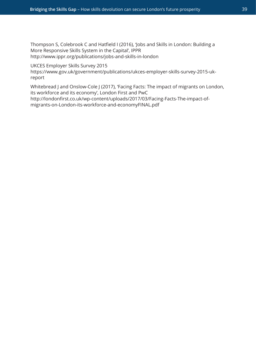Thompson S, Colebrook C and Hatfield I (2016), 'Jobs and Skills in London: Building a More Responsive Skills System in the Capital', IPPR http://www.ippr.org/publications/jobs-and-skills-in-london

UKCES Employer Skills Survey 2015

https://www.gov.uk/government/publications/ukces-employer-skills-survey-2015-ukreport

Whitebread J and Onslow-Cole J (2017), 'Facing Facts: The impact of migrants on London, its workforce and its economy', London First and PwC

http://londonfirst.co.uk/wp-content/uploads/2017/03/Facing-Facts-The-impact-ofmigrants-on-London-its-workforce-and-economyFINAL.pdf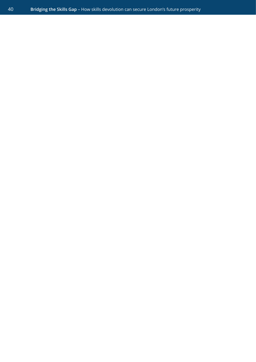